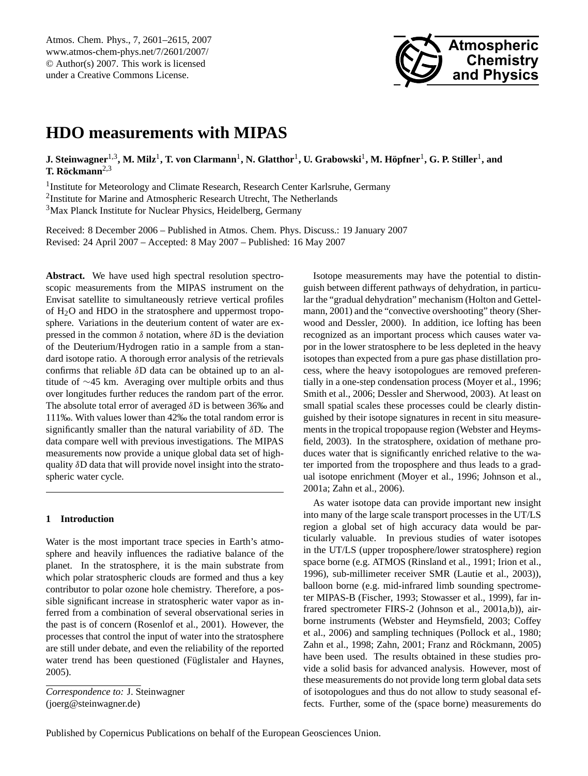<span id="page-0-0"></span>Atmos. Chem. Phys., 7, 2601–2615, 2007 www.atmos-chem-phys.net/7/2601/2007/ © Author(s) 2007. This work is licensed under a Creative Commons License.



# **HDO measurements with MIPAS**

 ${\bf J. Steinwagner^{1,3}, M. Milz^1, T. von Clarmann^1, N. Glatthor^1, U. Grabowski^1, M. Höpfner^1, G. P. Stiller^1, and}$ **T. Röckmann**<sup>2,3</sup>

<sup>1</sup> Institute for Meteorology and Climate Research, Research Center Karlsruhe, Germany <sup>2</sup>Institute for Marine and Atmospheric Research Utrecht, The Netherlands <sup>3</sup>Max Planck Institute for Nuclear Physics, Heidelberg, Germany

Received: 8 December 2006 – Published in Atmos. Chem. Phys. Discuss.: 19 January 2007 Revised: 24 April 2007 – Accepted: 8 May 2007 – Published: 16 May 2007

**Abstract.** We have used high spectral resolution spectroscopic measurements from the MIPAS instrument on the Envisat satellite to simultaneously retrieve vertical profiles of  $H_2O$  and HDO in the stratosphere and uppermost troposphere. Variations in the deuterium content of water are expressed in the common  $\delta$  notation, where  $\delta$ D is the deviation of the Deuterium/Hydrogen ratio in a sample from a standard isotope ratio. A thorough error analysis of the retrievals confirms that reliable δD data can be obtained up to an altitude of ∼45 km. Averaging over multiple orbits and thus over longitudes further reduces the random part of the error. The absolute total error of averaged δD is between 36‰ and 111‰. With values lower than 42‰ the total random error is significantly smaller than the natural variability of δD. The data compare well with previous investigations. The MIPAS measurements now provide a unique global data set of highquality δD data that will provide novel insight into the stratospheric water cycle.

# **1 Introduction**

Water is the most important trace species in Earth's atmosphere and heavily influences the radiative balance of the planet. In the stratosphere, it is the main substrate from which polar stratospheric clouds are formed and thus a key contributor to polar ozone hole chemistry. Therefore, a possible significant increase in stratospheric water vapor as inferred from a combination of several observational series in the past is of concern [\(Rosenlof et al.,](#page-13-0) [2001\)](#page-13-0). However, the processes that control the input of water into the stratosphere are still under debate, and even the reliability of the reported water trend has been questioned (Füglistaler and Haynes, [2005\)](#page-13-1).

*Correspondence to:* J. Steinwagner (joerg@steinwagner.de)

Isotope measurements may have the potential to distinguish between different pathways of dehydration, in particular the "gradual dehydration" mechanism [\(Holton and Gettel](#page-13-2)[mann,](#page-13-2) [2001\)](#page-13-2) and the "convective overshooting" theory [\(Sher](#page-13-3)[wood and Dessler,](#page-13-3) [2000\)](#page-13-3). In addition, ice lofting has been recognized as an important process which causes water vapor in the lower stratosphere to be less depleted in the heavy isotopes than expected from a pure gas phase distillation process, where the heavy isotopologues are removed preferentially in a one-step condensation process [\(Moyer et al.,](#page-13-4) [1996;](#page-13-4) [Smith et al.,](#page-13-5) [2006;](#page-13-5) [Dessler and Sherwood,](#page-12-0) [2003\)](#page-12-0). At least on small spatial scales these processes could be clearly distinguished by their isotope signatures in recent in situ measurements in the tropical tropopause region [\(Webster and Heyms](#page-14-0)[field,](#page-14-0) [2003\)](#page-14-0). In the stratosphere, oxidation of methane produces water that is significantly enriched relative to the water imported from the troposphere and thus leads to a gradual isotope enrichment [\(Moyer et al.,](#page-13-4) [1996;](#page-13-4) [Johnson et al.,](#page-13-6) [2001a;](#page-13-6) [Zahn et al.,](#page-14-1) [2006\)](#page-14-1).

As water isotope data can provide important new insight into many of the large scale transport processes in the UT/LS region a global set of high accuracy data would be particularly valuable. In previous studies of water isotopes in the UT/LS (upper troposphere/lower stratosphere) region space borne (e.g. ATMOS [\(Rinsland et al.,](#page-13-7) [1991;](#page-13-7) [Irion et al.,](#page-13-8) [1996\)](#page-13-8), sub-millimeter receiver SMR [\(Lautie et al.,](#page-13-9) [2003\)](#page-13-9)), balloon borne (e.g. mid-infrared limb sounding spectrometer MIPAS-B [\(Fischer,](#page-13-10) [1993;](#page-13-10) [Stowasser et al.,](#page-13-11) [1999\)](#page-13-11), far infrared spectrometer FIRS-2 [\(Johnson et al.,](#page-13-6) [2001a](#page-13-6)[,b\)](#page-13-12)), airborne instruments [\(Webster and Heymsfield,](#page-14-0) [2003;](#page-14-0) [Coffey](#page-12-1) [et al.,](#page-12-1) [2006\)](#page-12-1) and sampling techniques [\(Pollock et al.,](#page-13-13) [1980;](#page-13-13) [Zahn et al.,](#page-14-2) [1998;](#page-14-2) [Zahn,](#page-14-3) [2001;](#page-14-3) Franz and Röckmann, [2005\)](#page-13-14) have been used. The results obtained in these studies provide a solid basis for advanced analysis. However, most of these measurements do not provide long term global data sets of isotopologues and thus do not allow to study seasonal effects. Further, some of the (space borne) measurements do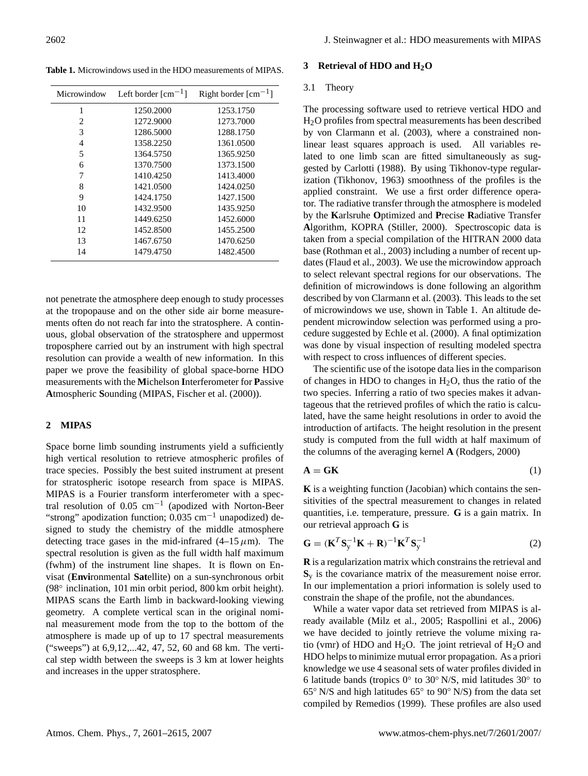<span id="page-1-0"></span>**Table 1.** Microwindows used in the HDO measurements of MIPAS.

| Microwindow | Left border $\lceil$ cm <sup>-1</sup> ] | Right border $\lceil$ cm <sup>-1</sup> ] |
|-------------|-----------------------------------------|------------------------------------------|
| 1           | 1250.2000                               | 1253.1750                                |
| 2           | 1272.9000                               | 1273.7000                                |
| 3           | 1286.5000                               | 1288.1750                                |
| 4           | 1358.2250                               | 1361.0500                                |
| 5           | 1364.5750                               | 1365.9250                                |
| 6           | 1370.7500                               | 1373.1500                                |
| 7           | 1410.4250                               | 1413.4000                                |
| 8           | 1421.0500                               | 1424.0250                                |
| 9           | 1424.1750                               | 1427.1500                                |
| 10          | 1432.9500                               | 1435.9250                                |
| 11          | 1449.6250                               | 1452.6000                                |
| 12          | 1452.8500                               | 1455.2500                                |
| 13          | 1467.6750                               | 1470.6250                                |
| 14          | 1479.4750                               | 1482.4500                                |

not penetrate the atmosphere deep enough to study processes at the tropopause and on the other side air borne measurements often do not reach far into the stratosphere. A continuous, global observation of the stratosphere and uppermost troposphere carried out by an instrument with high spectral resolution can provide a wealth of new information. In this paper we prove the feasibility of global space-borne HDO measurements with the **M**ichelson **I**nterferometer for **P**assive **A**tmospheric **S**ounding (MIPAS, [Fischer et al.](#page-12-2) [\(2000\)](#page-12-2)).

# **2 MIPAS**

Space borne limb sounding instruments yield a sufficiently high vertical resolution to retrieve atmospheric profiles of trace species. Possibly the best suited instrument at present for stratospheric isotope research from space is MIPAS. MIPAS is a Fourier transform interferometer with a spectral resolution of 0.05  $cm^{-1}$  (apodized with Norton-Beer "strong" apodization function; 0.035 cm<sup>-1</sup> unapodized) designed to study the chemistry of the middle atmosphere detecting trace gases in the mid-infrared  $(4-15 \mu m)$ . The spectral resolution is given as the full width half maximum (fwhm) of the instrument line shapes. It is flown on Envisat (**Envi**ronmental **Sat**ellite) on a sun-synchronous orbit (98◦ inclination, 101 min orbit period, 800 km orbit height). MIPAS scans the Earth limb in backward-looking viewing geometry. A complete vertical scan in the original nominal measurement mode from the top to the bottom of the atmosphere is made up of up to 17 spectral measurements ("sweeps") at 6,9,12,...42, 47, 52, 60 and 68 km. The vertical step width between the sweeps is 3 km at lower heights and increases in the upper stratosphere.

## **3 Retrieval of HDO and H2O**

#### 3.1 Theory

The processing software used to retrieve vertical HDO and H2O profiles from spectral measurements has been described by [von Clarmann et al.](#page-14-4) [\(2003\)](#page-14-4), where a constrained nonlinear least squares approach is used. All variables related to one limb scan are fitted simultaneously as suggested by [Carlotti](#page-12-3) [\(1988\)](#page-12-3). By using Tikhonov-type regularization [\(Tikhonov,](#page-14-5) [1963\)](#page-14-5) smoothness of the profiles is the applied constraint. We use a first order difference operator. The radiative transfer through the atmosphere is modeled by the **K**arlsruhe **O**ptimized and **P**recise **R**adiative Transfer **A**lgorithm, KOPRA [\(Stiller,](#page-13-15) [2000\)](#page-13-15). Spectroscopic data is taken from a special compilation of the HITRAN 2000 data base [\(Rothman et al.,](#page-13-16) [2003\)](#page-13-16) including a number of recent updates [\(Flaud et al.,](#page-13-17) [2003\)](#page-13-17). We use the microwindow approach to select relevant spectral regions for our observations. The definition of microwindows is done following an algorithm described by [von Clarmann et al.](#page-14-4) [\(2003\)](#page-14-4). This leads to the set of microwindows we use, shown in Table [1.](#page-1-0) An altitude dependent microwindow selection was performed using a procedure suggested by [Echle et al.](#page-12-4) [\(2000\)](#page-12-4). A final optimization was done by visual inspection of resulting modeled spectra with respect to cross influences of different species.

The scientific use of the isotope data lies in the comparison of changes in HDO to changes in  $H<sub>2</sub>O$ , thus the ratio of the two species. Inferring a ratio of two species makes it advantageous that the retrieved profiles of which the ratio is calculated, have the same height resolutions in order to avoid the introduction of artifacts. The height resolution in the present study is computed from the full width at half maximum of the columns of the averaging kernel **A** [\(Rodgers,](#page-13-18) [2000\)](#page-13-18)

$$
\mathbf{A} = \mathbf{G}\mathbf{K} \tag{1}
$$

**K** is a weighting function (Jacobian) which contains the sensitivities of the spectral measurement to changes in related quantities, i.e. temperature, pressure. **G** is a gain matrix. In our retrieval approach **G** is

$$
\mathbf{G} = (\mathbf{K}^T \mathbf{S}_y^{-1} \mathbf{K} + \mathbf{R})^{-1} \mathbf{K}^T \mathbf{S}_y^{-1}
$$
 (2)

**R** is a regularization matrix which constrains the retrieval and  $S<sub>v</sub>$  is the covariance matrix of the measurement noise error. In our implementation a priori information is solely used to constrain the shape of the profile, not the abundances.

While a water vapor data set retrieved from MIPAS is already available [\(Milz et al.,](#page-13-19) [2005;](#page-13-19) [Raspollini et al.,](#page-13-20) [2006\)](#page-13-20) we have decided to jointly retrieve the volume mixing ratio (vmr) of HDO and  $H_2O$ . The joint retrieval of  $H_2O$  and HDO helps to minimize mutual error propagation. As a priori knowledge we use 4 seasonal sets of water profiles divided in 6 latitude bands (tropics 0◦ to 30◦ N/S, mid latitudes 30◦ to 65◦ N/S and high latitudes 65◦ to 90◦ N/S) from the data set compiled by [Remedios](#page-13-21) [\(1999\)](#page-13-21). These profiles are also used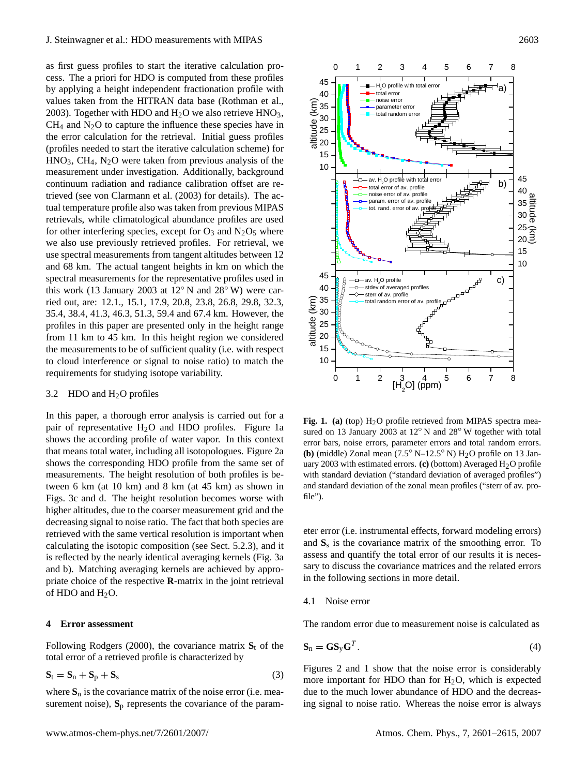as first guess profiles to start the iterative calculation process. The a priori for HDO is computed from these profiles by applying a height independent fractionation profile with values taken from the HITRAN data base [\(Rothman et al.,](#page-13-16) [2003\)](#page-13-16). Together with HDO and  $H_2O$  we also retrieve HNO<sub>3</sub>,  $CH<sub>4</sub>$  and N<sub>2</sub>O to capture the influence these species have in the error calculation for the retrieval. Initial guess profiles (profiles needed to start the iterative calculation scheme) for  $HNO<sub>3</sub>$ ,  $CH<sub>4</sub>$ ,  $N<sub>2</sub>O$  were taken from previous analysis of the measurement under investigation. Additionally, background continuum radiation and radiance calibration offset are retrieved (see [von Clarmann et al.](#page-14-4) [\(2003\)](#page-14-4) for details). The actual temperature profile also was taken from previous MIPAS retrievals, while climatological abundance profiles are used for other interfering species, except for  $O_3$  and  $N_2O_5$  where we also use previously retrieved profiles. For retrieval, we use spectral measurements from tangent altitudes between 12 and 68 km. The actual tangent heights in km on which the spectral measurements for the representative profiles used in this work (13 January 2003 at 12◦ N and 28◦ W) were carried out, are: 12.1., 15.1, 17.9, 20.8, 23.8, 26.8, 29.8, 32.3, 35.4, 38.4, 41.3, 46.3, 51.3, 59.4 and 67.4 km. However, the profiles in this paper are presented only in the height range from 11 km to 45 km. In this height region we considered the measurements to be of sufficient quality (i.e. with respect to cloud interference or signal to noise ratio) to match the requirements for studying isotope variability.

## 3.2 HDO and  $H<sub>2</sub>O$  profiles

In this paper, a thorough error analysis is carried out for a pair of representative H2O and HDO profiles. Figure [1a](#page-2-0) shows the according profile of water vapor. In this context that means total water, including all isotopologues. Figure [2a](#page-3-0) shows the corresponding HDO profile from the same set of measurements. The height resolution of both profiles is between 6 km (at 10 km) and 8 km (at 45 km) as shown in Figs. 3c and d. The height resolution becomes worse with higher altitudes, due to the coarser measurement grid and the decreasing signal to noise ratio. The fact that both species are retrieved with the same vertical resolution is important when calculating the isotopic composition (see Sect. 5.2.3), and it is reflected by the nearly identical averaging kernels (Fig. [3a](#page-4-0) and b). Matching averaging kernels are achieved by appropriate choice of the respective **R**-matrix in the joint retrieval of HDO and  $H<sub>2</sub>O$ .

# **4 Error assessment**

Following [Rodgers](#page-13-18) [\(2000\)](#page-13-18), the covariance matrix  $S_t$  of the total error of a retrieved profile is characterized by

$$
\mathbf{S}_t = \mathbf{S}_n + \mathbf{S}_p + \mathbf{S}_s \tag{3}
$$

where  $S_n$  is the covariance matrix of the noise error (i.e. measurement noise),  $S_p$  represents the covariance of the param-



<span id="page-2-0"></span>Fig. 1. (a) (top) H<sub>2</sub>O profile retrieved from MIPAS spectra measured on 13 January 2003 at 12<sup>°</sup> N and 28<sup>°</sup> W together with total error bars, noise errors, parameter errors and total random errors. **(b)** (middle) Zonal mean  $(7.5^{\circ} \text{ N} - 12.5^{\circ} \text{ N})$  H<sub>2</sub>O profile on 13 January 2003 with estimated errors.  $(c)$  (bottom) Averaged H<sub>2</sub>O profile with standard deviation ("standard deviation of averaged profiles") and standard deviation of the zonal mean profiles ("sterr of av. profile").

eter error (i.e. instrumental effects, forward modeling errors) and  $S_s$  is the covariance matrix of the smoothing error. To assess and quantify the total error of our results it is necessary to discuss the covariance matrices and the related errors in the following sections in more detail.

#### 4.1 Noise error

The random error due to measurement noise is calculated as

$$
\mathbf{S}_n = \mathbf{G} \mathbf{S}_y \mathbf{G}^T. \tag{4}
$$

Figures [2](#page-3-0) and [1](#page-2-0) show that the noise error is considerably more important for HDO than for  $H<sub>2</sub>O$ , which is expected due to the much lower abundance of HDO and the decreasing signal to noise ratio. Whereas the noise error is always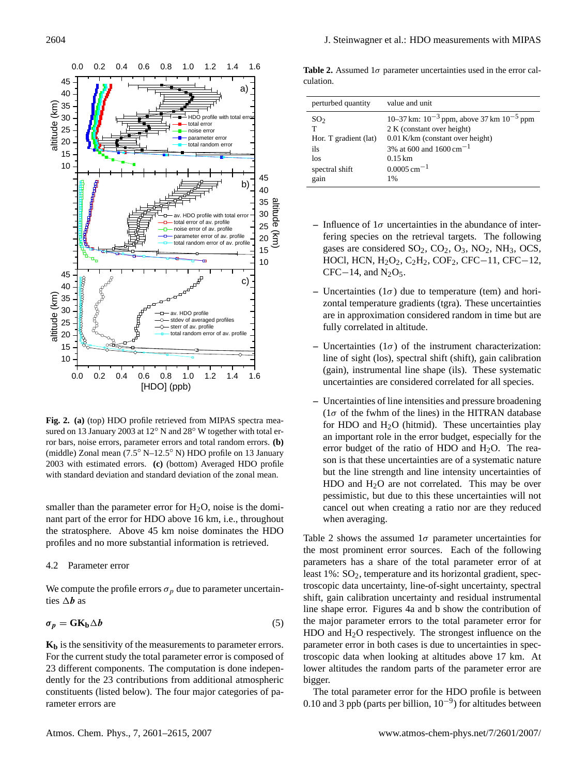

<span id="page-3-0"></span>**Fig. 2. (a)** (top) HDO profile retrieved from MIPAS spectra measured on 13 January 2003 at 12◦ N and 28◦ W together with total error bars, noise errors, parameter errors and total random errors. **(b)** (middle) Zonal mean (7.5 ◦ N–12.5 ◦ N) HDO profile on 13 January 2003 with estimated errors. **(c)** (bottom) Averaged HDO profile with standard deviation and standard deviation of the zonal mean.

smaller than the parameter error for  $H_2O$ , noise is the dominant part of the error for HDO above 16 km, i.e., throughout the stratosphere. Above 45 km noise dominates the HDO profiles and no more substantial information is retrieved.

#### 4.2 Parameter error

We compute the profile errors  $\sigma_p$  due to parameter uncertainties  $\Delta b$  as

$$
\sigma_p = \mathbf{G} \mathbf{K}_b \Delta b \tag{5}
$$

**K<sup>b</sup>** is the sensitivity of the measurements to parameter errors. For the current study the total parameter error is composed of 23 different components. The computation is done independently for the 23 contributions from additional atmospheric constituents (listed below). The four major categories of parameter errors are

<span id="page-3-1"></span>**Table 2.** Assumed  $1\sigma$  parameter uncertainties used in the error calculation.

| perturbed quantity    | value and unit                                     |
|-----------------------|----------------------------------------------------|
| SO <sub>2</sub>       | 10–37 km: $10^{-3}$ ppm, above 37 km $10^{-5}$ ppm |
| т                     | 2 K (constant over height)                         |
| Hor. T gradient (lat) | 0.01 K/km (constant over height)                   |
| ils                   | 3% at 600 and 1600 cm <sup>-1</sup>                |
| los                   | $0.15 \,\mathrm{km}$                               |
| spectral shift        | $0.0005$ cm <sup>-1</sup>                          |
| gain                  | 1%                                                 |

- **–** Influence of 1σ uncertainties in the abundance of interfering species on the retrieval targets. The following gases are considered  $SO_2$ ,  $CO_2$ ,  $O_3$ ,  $NO_2$ ,  $NH_3$ ,  $OCS$ , HOCl, HCN, H2O2, C2H2, COF2, CFC−11, CFC−12,  $CFC-14$ , and  $N_2O_5$ .
- **–** Uncertainties (1σ) due to temperature (tem) and horizontal temperature gradients (tgra). These uncertainties are in approximation considered random in time but are fully correlated in altitude.
- **–** Uncertainties (1σ) of the instrument characterization: line of sight (los), spectral shift (shift), gain calibration (gain), instrumental line shape (ils). These systematic uncertainties are considered correlated for all species.
- **–** Uncertainties of line intensities and pressure broadening ( $1\sigma$  of the fwhm of the lines) in the HITRAN database for HDO and  $H<sub>2</sub>O$  (hitmid). These uncertainties play an important role in the error budget, especially for the error budget of the ratio of HDO and  $H<sub>2</sub>O$ . The reason is that these uncertainties are of a systematic nature but the line strength and line intensity uncertainties of HDO and  $H<sub>2</sub>O$  are not correlated. This may be over pessimistic, but due to this these uncertainties will not cancel out when creating a ratio nor are they reduced when averaging.

Table [2](#page-3-1) shows the assumed  $1\sigma$  parameter uncertainties for the most prominent error sources. Each of the following parameters has a share of the total parameter error of at least  $1\%$ :  $SO<sub>2</sub>$ , temperature and its horizontal gradient, spectroscopic data uncertainty, line-of-sight uncertainty, spectral shift, gain calibration uncertainty and residual instrumental line shape error. Figures [4a](#page-5-0) and b show the contribution of the major parameter errors to the total parameter error for  $HDO$  and  $H<sub>2</sub>O$  respectively. The strongest influence on the parameter error in both cases is due to uncertainties in spectroscopic data when looking at altitudes above 17 km. At lower altitudes the random parts of the parameter error are bigger.

The total parameter error for the HDO profile is between 0.10 and 3 ppb (parts per billion,  $10^{-9}$ ) for altitudes between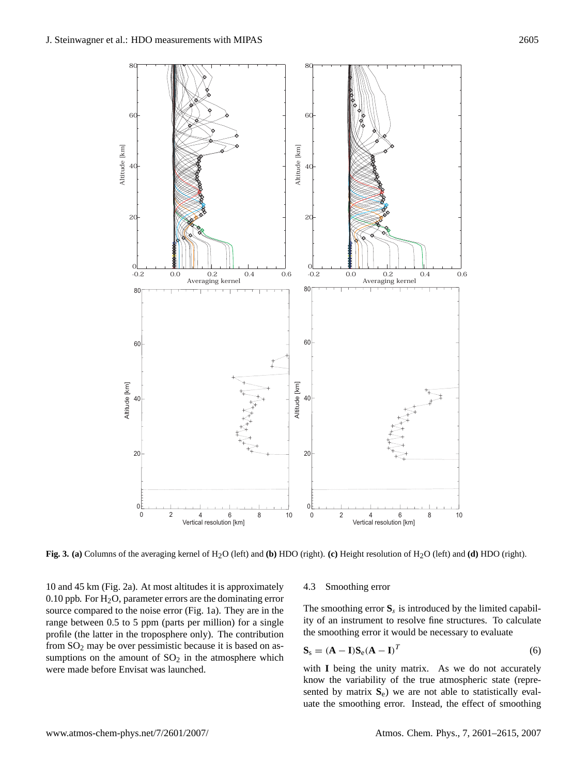

<span id="page-4-0"></span>**Fig. 3. (a)** Columns of the averaging kernel of H2O (left) and **(b)** HDO (right). **(c)** Height resolution of H2O (left) and **(d)** HDO (right).

10 and 45 km (Fig. [2a](#page-3-0)). At most altitudes it is approximately 0.10 ppb. For  $H<sub>2</sub>O$ , parameter errors are the dominating error source compared to the noise error (Fig. [1a](#page-2-0)). They are in the range between 0.5 to 5 ppm (parts per million) for a single profile (the latter in the troposphere only). The contribution from  $SO<sub>2</sub>$  may be over pessimistic because it is based on assumptions on the amount of  $SO<sub>2</sub>$  in the atmosphere which were made before Envisat was launched.

#### 4.3 Smoothing error

The smoothing error  $S_s$  is introduced by the limited capability of an instrument to resolve fine structures. To calculate the smoothing error it would be necessary to evaluate

$$
\mathbf{S}_{\rm s} = (\mathbf{A} - \mathbf{I})\mathbf{S}_{\rm e}(\mathbf{A} - \mathbf{I})^T \tag{6}
$$

with **I** being the unity matrix. As we do not accurately know the variability of the true atmospheric state (represented by matrix  $S_e$ ) we are not able to statistically evaluate the smoothing error. Instead, the effect of smoothing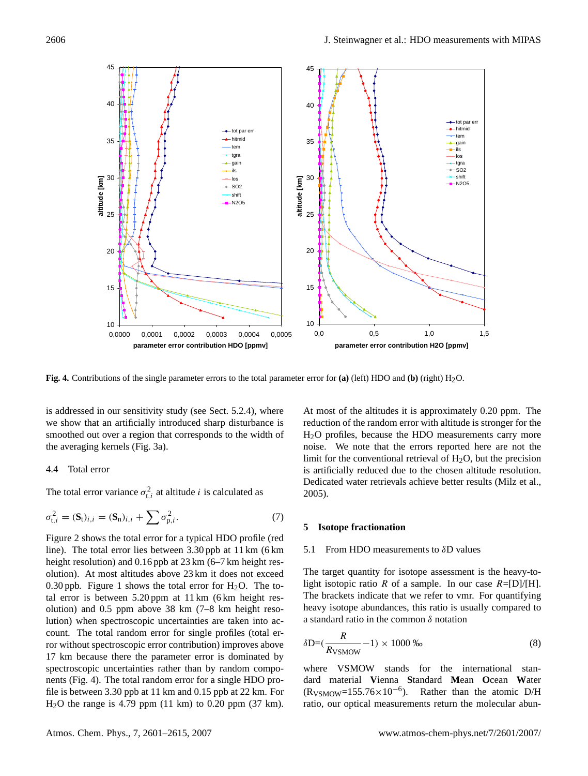

<span id="page-5-0"></span>**Fig. 4.** Contributions of the single parameter errors to the total parameter error for **(a)** (left) HDO and **(b)** (right) H2O.

is addressed in our sensitivity study (see Sect. 5.2.4), where we show that an artificially introduced sharp disturbance is smoothed out over a region that corresponds to the width of the averaging kernels (Fig. [3a](#page-4-0)).

## 4.4 Total error

The total error variance  $\sigma_{t,i}^2$  at altitude *i* is calculated as

$$
\sigma_{t,i}^2 = (\mathbf{S}_t)_{i,i} = (\mathbf{S}_n)_{i,i} + \sum \sigma_{p,i}^2.
$$
 (7)

Figure [2](#page-3-0) shows the total error for a typical HDO profile (red line). The total error lies between 3.30 ppb at 11 km (6 km height resolution) and 0.16 ppb at 23 km (6–7 km height resolution). At most altitudes above 23 km it does not exceed 0.30 ppb. Figure [1](#page-2-0) shows the total error for  $H_2O$ . The total error is between 5.20 ppm at 11 km (6 km height resolution) and 0.5 ppm above 38 km (7–8 km height resolution) when spectroscopic uncertainties are taken into account. The total random error for single profiles (total error without spectroscopic error contribution) improves above 17 km because there the parameter error is dominated by spectroscopic uncertainties rather than by random components (Fig. [4\)](#page-5-0). The total random error for a single HDO profile is between 3.30 ppb at 11 km and 0.15 ppb at 22 km. For H2O the range is 4.79 ppm (11 km) to 0.20 ppm (37 km). At most of the altitudes it is approximately 0.20 ppm. The reduction of the random error with altitude is stronger for the H2O profiles, because the HDO measurements carry more noise. We note that the errors reported here are not the limit for the conventional retrieval of  $H_2O$ , but the precision is artificially reduced due to the chosen altitude resolution. Dedicated water retrievals achieve better results [\(Milz et al.,](#page-13-19) [2005\)](#page-13-19).

# **5 Isotope fractionation**

#### 5.1 From HDO measurements to  $\delta$ D values

The target quantity for isotope assessment is the heavy-tolight isotopic ratio R of a sample. In our case  $R = [D]/[H]$ . The brackets indicate that we refer to vmr. For quantifying heavy isotope abundances, this ratio is usually compared to a standard ratio in the common  $\delta$  notation

$$
\delta \mathbf{D} = (\frac{R}{R_{\text{VSMOW}}} - 1) \times 1000 \, \text{W} \tag{8}
$$

where VSMOW stands for the international standard material **V**ienna **S**tandard **M**ean **O**cean **W**ater  $(R_{VSMOW}=155.76\times10^{-6})$ . Rather than the atomic D/H ratio, our optical measurements return the molecular abun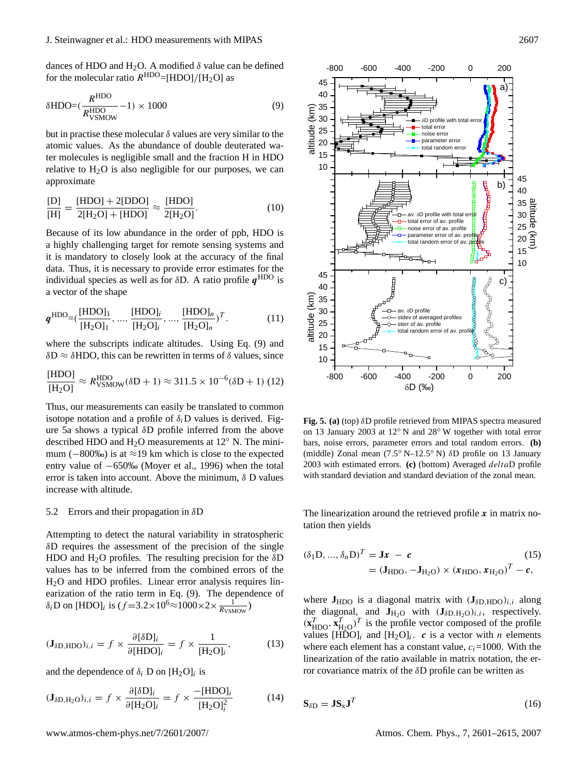dances of HDO and H<sub>2</sub>O. A modified  $\delta$  value can be defined for the molecular ratio  $R^{\text{HDO}} = [\text{HDO}]/[\text{H}_2\text{O}]$  as

<span id="page-6-0"></span>
$$
\delta \text{HDO} = \left(\frac{R^{\text{HDO}}}{R^{\text{HDO}}_{\text{VSMOW}}} - 1\right) \times 1000\tag{9}
$$

but in practise these molecular  $\delta$  values are very similar to the atomic values. As the abundance of double deuterated water molecules is negligible small and the fraction H in HDO relative to  $H_2O$  is also negligible for our purposes, we can approximate

$$
\frac{[D]}{[H]} = \frac{[HDO] + 2[DDO]}{2[H_2O] + [HDO]} \approx \frac{[HDO]}{2[H_2O]}.
$$
\n(10)

Because of its low abundance in the order of ppb, HDO is a highly challenging target for remote sensing systems and it is mandatory to closely look at the accuracy of the final data. Thus, it is necessary to provide error estimates for the individual species as well as for  $\delta D$ . A ratio profile  $q^{\text{HDO}}$  is a vector of the shape

$$
\boldsymbol{q}^{\text{HDO}} = (\frac{[\text{HDO}]_1}{[\text{H}_2\text{O}]_1}, ..., \frac{[\text{HDO}]_i}{[\text{H}_2\text{O}]_i}, ..., \frac{[\text{HDO}]_n}{[\text{H}_2\text{O}]_n})^T.
$$
(11)

where the subscripts indicate altitudes. Using Eq. [\(9\)](#page-6-0) and  $\delta D \approx \delta H D O$ , this can be rewritten in terms of  $\delta$  values, since

$$
\frac{\text{[HDO]}}{\text{[H}_2\text{O]}} \approx R_{\text{VSMOW}}^{\text{HDO}}(\delta\text{D}+1) \approx 311.5 \times 10^{-6} (\delta\text{D}+1) (12)
$$

Thus, our measurements can easily be translated to common isotope notation and a profile of  $\delta_i$ D values is derived. Figure [5a](#page-6-1) shows a typical δD profile inferred from the above described HDO and  $H<sub>2</sub>O$  measurements at 12 $\degree$  N. The minimum ( $-800\%$ ) is at ≈19 km which is close to the expected entry value of −650‰ [\(Moyer et al.,](#page-13-4) [1996\)](#page-13-4) when the total error is taken into account. Above the minimum,  $\delta$  D values increase with altitude.

# 5.2 Errors and their propagation in δD

Attempting to detect the natural variability in stratospheric  $\delta$ D requires the assessment of the precision of the single HDO and H<sub>2</sub>O profiles. The resulting precision for the  $\delta$ D values has to be inferred from the combined errors of the H2O and HDO profiles. Linear error analysis requires linearization of the ratio term in Eq. [\(9\)](#page-6-0). The dependence of  $\delta_i$ D on [HDO]<sub>i</sub> is  $(f=3.2\times10^6\approx1000\times2\times\frac{1}{R_{\text{VSMOW}}})$ 

$$
(\mathbf{J}_{\delta\mathbf{D},\text{HDO}})_{i,i} = f \times \frac{\partial[\delta\mathbf{D}]_i}{\partial[\text{HDO}]_i} = f \times \frac{1}{[\text{H}_2\text{O}]_i},\tag{13}
$$

and the dependence of  $\delta_i$  D on  $[H_2O]_i$  is

$$
(\mathbf{J}_{\delta\mathbf{D},\mathbf{H}_{2}\mathbf{O}})_{i,i} = f \times \frac{\partial[\delta\mathbf{D}]_i}{\partial[\mathbf{H}_{2}\mathbf{O}]_i} = f \times \frac{-[\text{HDO}]_i}{[\text{H}_{2}\mathbf{O}]_i^2}
$$
(14)



<span id="page-6-1"></span>**Fig. 5. (a)** (top) δD profile retrieved from MIPAS spectra measured on 13 January 2003 at 12◦ N and 28◦ W together with total error bars, noise errors, parameter errors and total random errors. **(b)** (middle) Zonal mean (7.5 ◦ N–12.5 ◦ N) δD profile on 13 January 2003 with estimated errors. **(c)** (bottom) Averaged deltaD profile with standard deviation and standard deviation of the zonal mean.

The linearization around the retrieved profile  $x$  in matrix notation then yields

$$
(\delta_1 D, ..., \delta_n D)^T = Jx - c
$$
\n
$$
= (J_{HDO}, -J_{H_2O}) \times (x_{HDO}, x_{H_2O})^T - c,
$$
\n(15)

where  $J_{HDO}$  is a diagonal matrix with  $(J_{\delta D, HDO})_{i,i}$  along the diagonal, and  $J_{H_2O}$  with  $(J_{\delta D, H_2O})_{i,i}$ , respectively.  $(\mathbf{x}_{\text{HDO}}^T, \mathbf{x}_{\text{H2O}}^T)^T$  is the profile vector composed of the profile values  $[H\bar{D}O]_i$  and  $[H_2O]_i$ . c is a vector with n elements where each element has a constant value,  $c_i$ =1000. With the linearization of the ratio available in matrix notation, the error covariance matrix of the  $\delta$ D profile can be written as

<span id="page-6-2"></span>
$$
\mathbf{S}_{\delta \mathbf{D}} = \mathbf{J} \mathbf{S}_{\mathbf{x}} \mathbf{J}^T \tag{16}
$$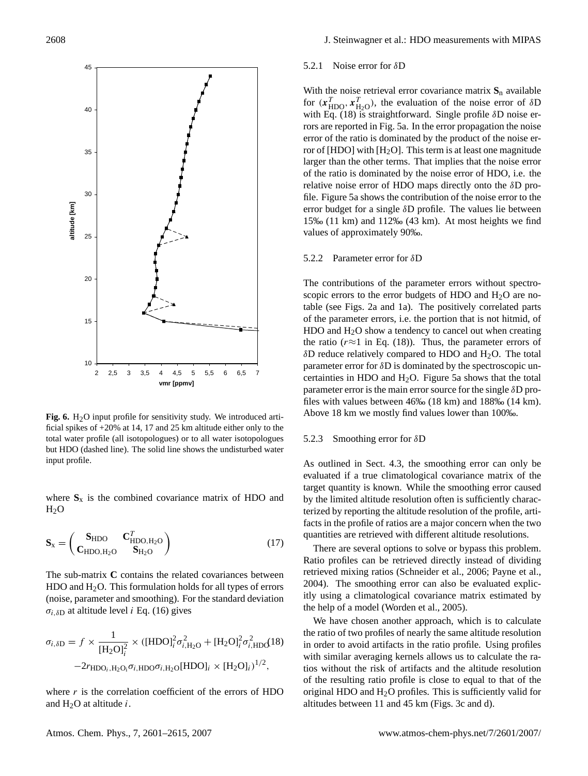

<span id="page-7-1"></span>Fig. 6. H<sub>2</sub>O input profile for sensitivity study. We introduced artificial spikes of +20% at 14, 17 and 25 km altitude either only to the total water profile (all isotopologues) or to all water isotopologues but HDO (dashed line). The solid line shows the undisturbed water input profile.

where  $S_x$  is the combined covariance matrix of HDO and  $H<sub>2</sub>O$ 

$$
\mathbf{S}_{\mathbf{x}} = \begin{pmatrix} \mathbf{S}_{\mathrm{HDO}} & \mathbf{C}_{\mathrm{HDO},\mathrm{H}_{2}\mathrm{O}}^{T} \\ \mathbf{C}_{\mathrm{HDO},\mathrm{H}_{2}\mathrm{O}} & \mathbf{S}_{\mathrm{H}_{2}\mathrm{O}} \end{pmatrix} \tag{17}
$$

The sub-matrix **C** contains the related covariances between  $HDO$  and  $H<sub>2</sub>O$ . This formulation holds for all types of errors (noise, parameter and smoothing). For the standard deviation  $\sigma_{i,\delta D}$  at altitude level *i* Eq. [\(16\)](#page-6-2) gives

<span id="page-7-0"></span>
$$
\sigma_{i,\delta D} = f \times \frac{1}{\left[H_2 O\right]_i^2} \times \left( [\text{HDO}]_i^2 \sigma_{i,\text{H}_2 O}^2 + [\text{H}_2 O]_i^2 \sigma_{i,\text{HDO}}^2 \right)
$$

$$
-2r_{\text{HDO}_{i},\text{H}_2 O_i} \sigma_{i,\text{HDO}} \sigma_{i,\text{H}_2 O} [\text{HDO}]_i \times [\text{H}_2 O]_i \right)^{1/2},
$$

where  $r$  is the correlation coefficient of the errors of HDO and  $H_2O$  at altitude i.

### 5.2.1 Noise error for δD

With the noise retrieval error covariance matrix  $S_n$  available for  $(x_{\text{HDO}}^T, x_{\text{H}_2\text{O}}^T)$ , the evaluation of the noise error of  $\delta\text{D}$ with Eq. [\(18\)](#page-7-0) is straightforward. Single profile δD noise errors are reported in Fig. [5a](#page-6-1). In the error propagation the noise error of the ratio is dominated by the product of the noise error of [HDO] with  $[H<sub>2</sub>O]$ . This term is at least one magnitude larger than the other terms. That implies that the noise error of the ratio is dominated by the noise error of HDO, i.e. the relative noise error of HDO maps directly onto the  $\delta$ D profile. Figure [5a](#page-6-1) shows the contribution of the noise error to the error budget for a single δD profile. The values lie between 15‰ (11 km) and 112‰ (43 km). At most heights we find values of approximately 90‰.

## 5.2.2 Parameter error for δD

The contributions of the parameter errors without spectroscopic errors to the error budgets of HDO and  $H<sub>2</sub>O$  are notable (see Figs. [2a](#page-3-0) and [1a](#page-2-0)). The positively correlated parts of the parameter errors, i.e. the portion that is not hitmid, of  $HDO$  and  $H<sub>2</sub>O$  show a tendency to cancel out when creating the ratio ( $r \approx 1$  in Eq. [\(18\)](#page-7-0)). Thus, the parameter errors of  $\delta$ D reduce relatively compared to HDO and H<sub>2</sub>O. The total parameter error for  $\delta$ D is dominated by the spectroscopic uncertainties in HDO and  $H_2O$ . Figure [5a](#page-6-1) shows that the total parameter error is the main error source for the single  $\delta D$  profiles with values between 46‰ (18 km) and 188‰ (14 km). Above 18 km we mostly find values lower than 100‰.

#### 5.2.3 Smoothing error for δD

As outlined in Sect. 4.3, the smoothing error can only be evaluated if a true climatological covariance matrix of the target quantity is known. While the smoothing error caused by the limited altitude resolution often is sufficiently characterized by reporting the altitude resolution of the profile, artifacts in the profile of ratios are a major concern when the two quantities are retrieved with different altitude resolutions.

There are several options to solve or bypass this problem. Ratio profiles can be retrieved directly instead of dividing retrieved mixing ratios [\(Schneider et al.,](#page-13-22) [2006;](#page-13-22) [Payne et al.,](#page-13-23) [2004\)](#page-13-23). The smoothing error can also be evaluated explicitly using a climatological covariance matrix estimated by the help of a model [\(Worden et al.,](#page-14-6) [2005\)](#page-14-6).

We have chosen another approach, which is to calculate the ratio of two profiles of nearly the same altitude resolution in order to avoid artifacts in the ratio profile. Using profiles with similar averaging kernels allows us to calculate the ratios without the risk of artifacts and the altitude resolution of the resulting ratio profile is close to equal to that of the original HDO and  $H<sub>2</sub>O$  profiles. This is sufficiently valid for altitudes between 11 and 45 km (Figs. [3c](#page-4-0) and d).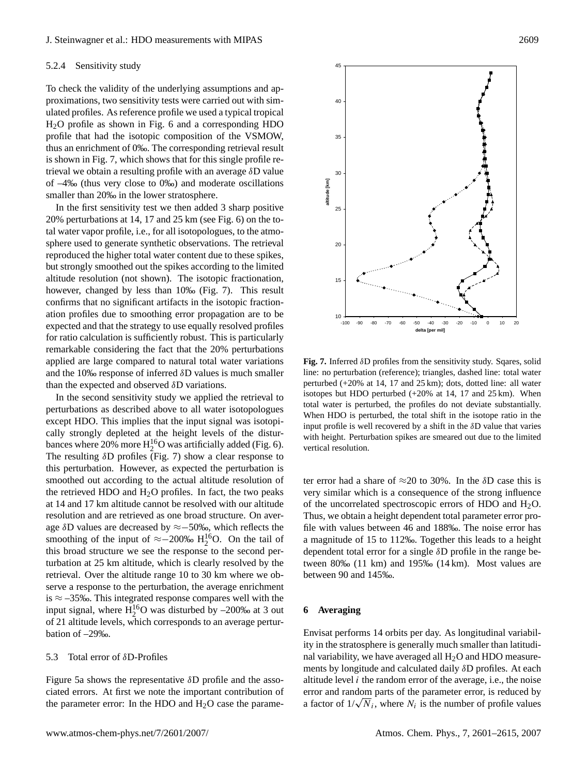#### 5.2.4 Sensitivity study

To check the validity of the underlying assumptions and approximations, two sensitivity tests were carried out with simulated profiles. As reference profile we used a typical tropical H2O profile as shown in Fig. [6](#page-7-1) and a corresponding HDO profile that had the isotopic composition of the VSMOW, thus an enrichment of 0‰. The corresponding retrieval result is shown in Fig. [7,](#page-8-0) which shows that for this single profile retrieval we obtain a resulting profile with an average  $\delta$ D value of –4‰ (thus very close to 0‰) and moderate oscillations smaller than 20‰ in the lower stratosphere.

In the first sensitivity test we then added 3 sharp positive 20% perturbations at 14, 17 and 25 km (see Fig. [6\)](#page-7-1) on the total water vapor profile, i.e., for all isotopologues, to the atmosphere used to generate synthetic observations. The retrieval reproduced the higher total water content due to these spikes, but strongly smoothed out the spikes according to the limited altitude resolution (not shown). The isotopic fractionation, however, changed by less than 10‰ (Fig. [7\)](#page-8-0). This result confirms that no significant artifacts in the isotopic fractionation profiles due to smoothing error propagation are to be expected and that the strategy to use equally resolved profiles for ratio calculation is sufficiently robust. This is particularly remarkable considering the fact that the 20% perturbations applied are large compared to natural total water variations and the 10‰ response of inferred  $\delta$ D values is much smaller than the expected and observed  $\delta$ D variations.

In the second sensitivity study we applied the retrieval to perturbations as described above to all water isotopologues except HDO. This implies that the input signal was isotopically strongly depleted at the height levels of the disturbances where 20% more  $H_2^{16}O$  was artificially added (Fig. [6\)](#page-7-1). The resulting  $\delta D$  profiles (Fig. [7\)](#page-8-0) show a clear response to this perturbation. However, as expected the perturbation is smoothed out according to the actual altitude resolution of the retrieved HDO and  $H<sub>2</sub>O$  profiles. In fact, the two peaks at 14 and 17 km altitude cannot be resolved with our altitude resolution and are retrieved as one broad structure. On average δD values are decreased by ≈−50‰, which reflects the smoothing of the input of  $\approx$  -200‰ H<sub>2</sub><sup>16</sup>O. On the tail of this broad structure we see the response to the second perturbation at 25 km altitude, which is clearly resolved by the retrieval. Over the altitude range 10 to 30 km where we observe a response to the perturbation, the average enrichment is  $\approx$  –35‰. This integrated response compares well with the input signal, where  $H_2^{16}O$  was disturbed by  $-200\%$  at 3 out of 21 altitude levels, which corresponds to an average perturbation of –29‰.

# 5.3 Total error of δD-Profiles

Figure [5a](#page-6-1) shows the representative δD profile and the associated errors. At first we note the important contribution of the parameter error: In the HDO and  $H<sub>2</sub>O$  case the parame-



<span id="page-8-0"></span>**Fig. 7.** Inferred δD profiles from the sensitivity study. Sqares, solid line: no perturbation (reference); triangles, dashed line: total water perturbed (+20% at 14, 17 and 25 km); dots, dotted line: all water isotopes but HDO perturbed (+20% at 14, 17 and 25 km). When total water is perturbed, the profiles do not deviate substantially. When HDO is perturbed, the total shift in the isotope ratio in the input profile is well recovered by a shift in the  $\delta$ D value that varies with height. Perturbation spikes are smeared out due to the limited vertical resolution.

ter error had a share of  $\approx$ 20 to 30%. In the  $\delta$ D case this is very similar which is a consequence of the strong influence of the uncorrelated spectroscopic errors of HDO and  $H_2O$ . Thus, we obtain a height dependent total parameter error profile with values between 46 and 188‰. The noise error has a magnitude of 15 to 112‰. Together this leads to a height dependent total error for a single δD profile in the range between 80‰ (11 km) and 195‰ (14 km). Most values are between 90 and 145‰.

### **6 Averaging**

Envisat performs 14 orbits per day. As longitudinal variability in the stratosphere is generally much smaller than latitudinal variability, we have averaged all  $H<sub>2</sub>O$  and HDO measurements by longitude and calculated daily δD profiles. At each altitude level  $i$  the random error of the average, i.e., the noise error and random parts of the parameter error, is reduced by error and random parts of the parameter error, is reduced by<br>a factor of  $1/\sqrt{N_i}$ , where  $N_i$  is the number of profile values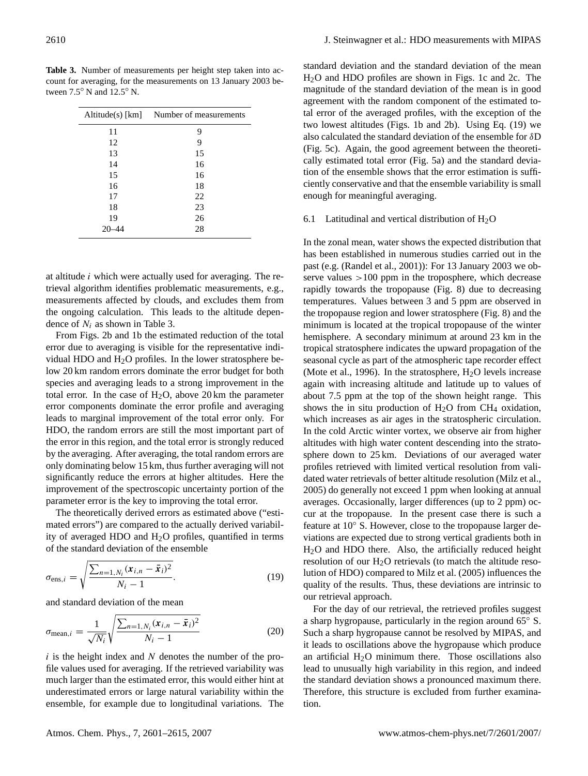<span id="page-9-0"></span>**Table 3.** Number of measurements per height step taken into account for averaging, for the measurements on 13 January 2003 between 7.5◦ N and 12.5◦ N.

| $Altitude(s)$ [km] | Number of measurements |
|--------------------|------------------------|
| 11                 | 9                      |
| 12                 | 9                      |
| 13                 | 15                     |
| 14                 | 16                     |
| 15                 | 16                     |
| 16                 | 18                     |
| 17                 | 22                     |
| 18                 | 23                     |
| 19                 | 26                     |
|                    | 28                     |

at altitude i which were actually used for averaging. The retrieval algorithm identifies problematic measurements, e.g., measurements affected by clouds, and excludes them from the ongoing calculation. This leads to the altitude dependence of  $N_i$  as shown in Table [3.](#page-9-0)

From Figs. [2b](#page-3-0) and [1b](#page-2-0) the estimated reduction of the total error due to averaging is visible for the representative individual HDO and  $H_2O$  profiles. In the lower stratosphere below 20 km random errors dominate the error budget for both species and averaging leads to a strong improvement in the total error. In the case of  $H<sub>2</sub>O$ , above 20 km the parameter error components dominate the error profile and averaging leads to marginal improvement of the total error only. For HDO, the random errors are still the most important part of the error in this region, and the total error is strongly reduced by the averaging. After averaging, the total random errors are only dominating below 15 km, thus further averaging will not significantly reduce the errors at higher altitudes. Here the improvement of the spectroscopic uncertainty portion of the parameter error is the key to improving the total error.

The theoretically derived errors as estimated above ("estimated errors") are compared to the actually derived variability of averaged HDO and  $H<sub>2</sub>O$  profiles, quantified in terms of the standard deviation of the ensemble

<span id="page-9-1"></span>
$$
\sigma_{\text{ens},i} = \sqrt{\frac{\sum_{n=1, N_i} (x_{i,n} - \bar{x}_i)^2}{N_i - 1}}.
$$
\n(19)

and standard deviation of the mean

$$
\sigma_{\text{mean},i} = \frac{1}{\sqrt{N_i}} \sqrt{\frac{\sum_{n=1, N_i} (\mathbf{x}_{i,n} - \bar{\mathbf{x}}_i)^2}{N_i - 1}}
$$
(20)

 $i$  is the height index and N denotes the number of the profile values used for averaging. If the retrieved variability was much larger than the estimated error, this would either hint at underestimated errors or large natural variability within the ensemble, for example due to longitudinal variations. The

standard deviation and the standard deviation of the mean H2O and HDO profiles are shown in Figs. [1c](#page-2-0) and [2c](#page-3-0). The magnitude of the standard deviation of the mean is in good agreement with the random component of the estimated total error of the averaged profiles, with the exception of the two lowest altitudes (Figs. [1b](#page-2-0) and [2b](#page-3-0)). Using Eq. [\(19\)](#page-9-1) we also calculated the standard deviation of the ensemble for δD (Fig. [5c](#page-6-1)). Again, the good agreement between the theoretically estimated total error (Fig. [5a](#page-6-1)) and the standard deviation of the ensemble shows that the error estimation is sufficiently conservative and that the ensemble variability is small enough for meaningful averaging.

#### 6.1 Latitudinal and vertical distribution of  $H_2O$

In the zonal mean, water shows the expected distribution that has been established in numerous studies carried out in the past (e.g. [\(Randel et al.,](#page-13-24) [2001\)](#page-13-24)): For 13 January 2003 we observe values  $>100$  ppm in the troposphere, which decrease rapidly towards the tropopause (Fig. [8\)](#page-10-0) due to decreasing temperatures. Values between 3 and 5 ppm are observed in the tropopause region and lower stratosphere (Fig. [8\)](#page-10-0) and the minimum is located at the tropical tropopause of the winter hemisphere. A secondary minimum at around 23 km in the tropical stratosphere indicates the upward propagation of the seasonal cycle as part of the atmospheric tape recorder effect [\(Mote et al.,](#page-13-25) [1996\)](#page-13-25). In the stratosphere,  $H_2O$  levels increase again with increasing altitude and latitude up to values of about 7.5 ppm at the top of the shown height range. This shows the in situ production of  $H_2O$  from CH<sub>4</sub> oxidation, which increases as air ages in the stratospheric circulation. In the cold Arctic winter vortex, we observe air from higher altitudes with high water content descending into the stratosphere down to 25 km. Deviations of our averaged water profiles retrieved with limited vertical resolution from validated water retrievals of better altitude resolution [\(Milz et al.,](#page-13-19) [2005\)](#page-13-19) do generally not exceed 1 ppm when looking at annual averages. Occasionally, larger differences (up to 2 ppm) occur at the tropopause. In the present case there is such a feature at 10◦ S. However, close to the tropopause larger deviations are expected due to strong vertical gradients both in H2O and HDO there. Also, the artificially reduced height resolution of our  $H<sub>2</sub>O$  retrievals (to match the altitude resolution of HDO) compared to [Milz et al.](#page-13-19) [\(2005\)](#page-13-19) influences the quality of the results. Thus, these deviations are intrinsic to our retrieval approach.

For the day of our retrieval, the retrieved profiles suggest a sharp hygropause, particularly in the region around 65◦ S. Such a sharp hygropause cannot be resolved by MIPAS, and it leads to oscillations above the hygropause which produce an artificial  $H_2O$  minimum there. Those oscillations also lead to unusually high variability in this region, and indeed the standard deviation shows a pronounced maximum there. Therefore, this structure is excluded from further examination.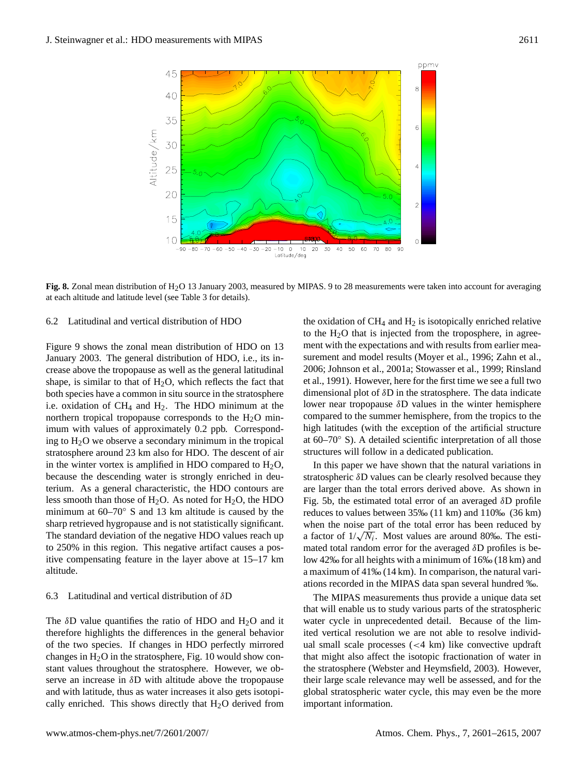

<span id="page-10-0"></span>Fig. 8. Zonal mean distribution of H<sub>2</sub>O 13 January 2003, measured by MIPAS. 9 to 28 measurements were taken into account for averaging at each altitude and latitude level (see Table [3](#page-9-0) for details).

## 6.2 Latitudinal and vertical distribution of HDO

Figure [9](#page-11-0) shows the zonal mean distribution of HDO on 13 January 2003. The general distribution of HDO, i.e., its increase above the tropopause as well as the general latitudinal shape, is similar to that of  $H_2O$ , which reflects the fact that both species have a common in situ source in the stratosphere i.e. oxidation of  $CH_4$  and  $H_2$ . The HDO minimum at the northern tropical tropopause corresponds to the  $H_2O$  minimum with values of approximately 0.2 ppb. Corresponding to  $H_2O$  we observe a secondary minimum in the tropical stratosphere around 23 km also for HDO. The descent of air in the winter vortex is amplified in HDO compared to  $H_2O$ , because the descending water is strongly enriched in deuterium. As a general characteristic, the HDO contours are less smooth than those of  $H_2O$ . As noted for  $H_2O$ , the HDO minimum at 60–70◦ S and 13 km altitude is caused by the sharp retrieved hygropause and is not statistically significant. The standard deviation of the negative HDO values reach up to 250% in this region. This negative artifact causes a positive compensating feature in the layer above at 15–17 km altitude.

#### 6.3 Latitudinal and vertical distribution of δD

The  $\delta$ D value quantifies the ratio of HDO and H<sub>2</sub>O and it therefore highlights the differences in the general behavior of the two species. If changes in HDO perfectly mirrored changes in  $H_2O$  in the stratosphere, Fig. [10](#page-11-1) would show constant values throughout the stratosphere. However, we observe an increase in δD with altitude above the tropopause and with latitude, thus as water increases it also gets isotopically enriched. This shows directly that  $H_2O$  derived from the oxidation of  $CH_4$  and  $H_2$  is isotopically enriched relative to the  $H<sub>2</sub>O$  that is injected from the troposphere, in agreement with the expectations and with results from earlier measurement and model results [\(Moyer et al.,](#page-13-4) [1996;](#page-13-4) [Zahn et al.,](#page-14-1) [2006;](#page-14-1) [Johnson et al.,](#page-13-6) [2001a;](#page-13-6) [Stowasser et al.,](#page-13-11) [1999;](#page-13-11) [Rinsland](#page-13-7) [et al.,](#page-13-7) [1991\)](#page-13-7). However, here for the first time we see a full two dimensional plot of δD in the stratosphere. The data indicate lower near tropopause δD values in the winter hemisphere compared to the summer hemisphere, from the tropics to the high latitudes (with the exception of the artificial structure at 60–70◦ S). A detailed scientific interpretation of all those structures will follow in a dedicated publication.

In this paper we have shown that the natural variations in stratospheric δD values can be clearly resolved because they are larger than the total errors derived above. As shown in Fig. [5b](#page-6-1), the estimated total error of an averaged δD profile reduces to values between 35‰ (11 km) and 110‰ (36 km) when the noise part of the total error has been reduced by when the noise part of the total error has been reduced by a factor of  $1/\sqrt{N_i}$ . Most values are around 80‰. The estimated total random error for the averaged  $\delta$ D profiles is below 42‰ for all heights with a minimum of 16‰ (18 km) and a maximum of 41‰ (14 km). In comparison, the natural variations recorded in the MIPAS data span several hundred ‰.

The MIPAS measurements thus provide a unique data set that will enable us to study various parts of the stratospheric water cycle in unprecedented detail. Because of the limited vertical resolution we are not able to resolve individual small scale processes (<4 km) like convective updraft that might also affect the isotopic fractionation of water in the stratosphere [\(Webster and Heymsfield,](#page-14-0) [2003\)](#page-14-0). However, their large scale relevance may well be assessed, and for the global stratospheric water cycle, this may even be the more important information.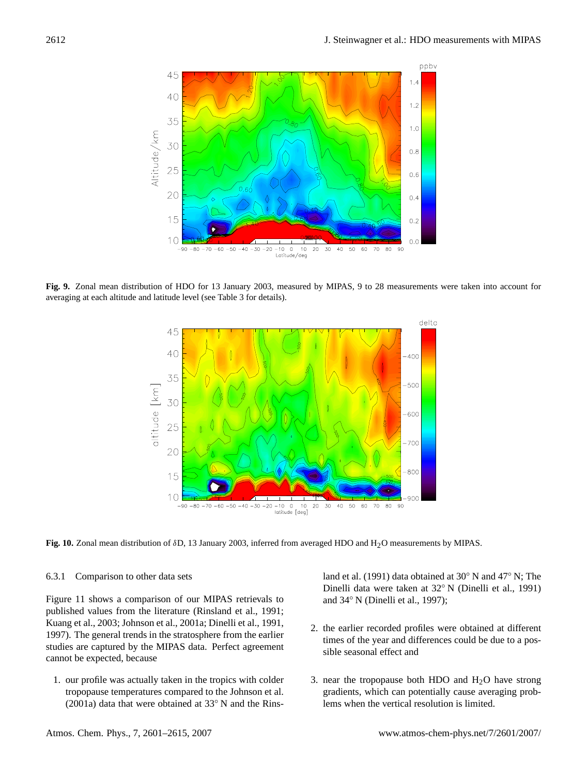

<span id="page-11-0"></span>**Fig. 9.** Zonal mean distribution of HDO for 13 January 2003, measured by MIPAS, 9 to 28 measurements were taken into account for averaging at each altitude and latitude level (see Table [3](#page-9-0) for details).



<span id="page-11-1"></span>**Fig. 10.** Zonal mean distribution of δD, 13 January 2003, inferred from averaged HDO and H2O measurements by MIPAS.

#### 6.3.1 Comparison to other data sets

Figure [11](#page-12-5) shows a comparison of our MIPAS retrievals to published values from the literature [\(Rinsland et al.,](#page-13-7) [1991;](#page-13-7) [Kuang et al.,](#page-13-26) [2003;](#page-13-26) [Johnson et al.,](#page-13-6) [2001a;](#page-13-6) [Dinelli et al.,](#page-12-6) [1991,](#page-12-6) [1997\)](#page-12-7). The general trends in the stratosphere from the earlier studies are captured by the MIPAS data. Perfect agreement cannot be expected, because

1. our profile was actually taken in the tropics with colder tropopause temperatures compared to the [Johnson et al.](#page-13-6) [\(2001a\)](#page-13-6) data that were obtained at 33◦ N and the [Rins-](#page-13-7)

[land et al.](#page-13-7) [\(1991\)](#page-13-7) data obtained at 30◦ N and 47◦ N; The Dinelli data were taken at 32◦ N [\(Dinelli et al.,](#page-12-6) [1991\)](#page-12-6) and 34◦ N [\(Dinelli et al.,](#page-12-7) [1997\)](#page-12-7);

- 2. the earlier recorded profiles were obtained at different times of the year and differences could be due to a possible seasonal effect and
- 3. near the tropopause both HDO and  $H_2O$  have strong gradients, which can potentially cause averaging problems when the vertical resolution is limited.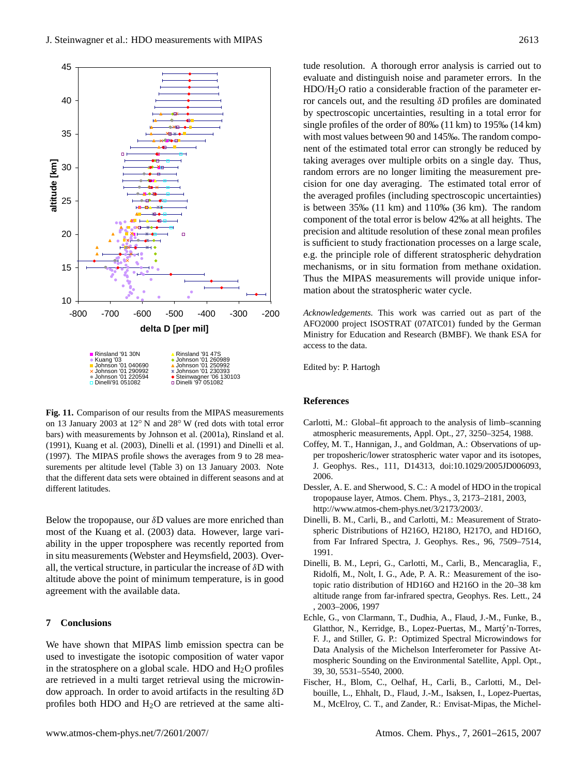

<span id="page-12-5"></span>**Fig. 11.** Comparison of our results from the MIPAS measurements on 13 January 2003 at 12◦ N and 28◦ W (red dots with total error bars) with measurements by [Johnson et al.](#page-13-6) [\(2001a\)](#page-13-6), [Rinsland et al.](#page-13-7) [\(1991\)](#page-13-7), [Kuang et al.](#page-13-26) [\(2003\)](#page-13-26), [Dinelli et al.](#page-12-6) [\(1991\)](#page-12-6) and [Dinelli et al.](#page-12-7) [\(1997\)](#page-12-7). The MIPAS profile shows the averages from 9 to 28 measurements per altitude level (Table [3\)](#page-9-0) on 13 January 2003. Note that the different data sets were obtained in different seasons and at different latitudes.

Below the tropopause, our  $\delta$ D values are more enriched than most of the [Kuang et al.](#page-13-26) [\(2003\)](#page-13-26) data. However, large variability in the upper troposphere was recently reported from in situ measurements [\(Webster and Heymsfield,](#page-14-0) [2003\)](#page-14-0). Overall, the vertical structure, in particular the increase of  $\delta D$  with altitude above the point of minimum temperature, is in good agreement with the available data.

## **7 Conclusions**

We have shown that MIPAS limb emission spectra can be used to investigate the isotopic composition of water vapor in the stratosphere on a global scale. HDO and  $H<sub>2</sub>O$  profiles are retrieved in a multi target retrieval using the microwindow approach. In order to avoid artifacts in the resulting  $\delta D$ profiles both HDO and  $H<sub>2</sub>O$  are retrieved at the same altitude resolution. A thorough error analysis is carried out to evaluate and distinguish noise and parameter errors. In the HDO/H2O ratio a considerable fraction of the parameter error cancels out, and the resulting δD profiles are dominated by spectroscopic uncertainties, resulting in a total error for single profiles of the order of 80‰ (11 km) to 195‰ (14 km) with most values between 90 and 145‰. The random component of the estimated total error can strongly be reduced by taking averages over multiple orbits on a single day. Thus, random errors are no longer limiting the measurement precision for one day averaging. The estimated total error of the averaged profiles (including spectroscopic uncertainties) is between 35‰ (11 km) and 110‰ (36 km). The random component of the total error is below 42‰ at all heights. The precision and altitude resolution of these zonal mean profiles is sufficient to study fractionation processes on a large scale, e.g. the principle role of different stratospheric dehydration mechanisms, or in situ formation from methane oxidation. Thus the MIPAS measurements will provide unique information about the stratospheric water cycle.

*Acknowledgements.* This work was carried out as part of the AFO2000 project ISOSTRAT (07ATC01) funded by the German Ministry for Education and Research (BMBF). We thank ESA for access to the data.

Edited by: P. Hartogh

## **References**

- <span id="page-12-3"></span>Carlotti, M.: Global–fit approach to the analysis of limb–scanning atmospheric measurements, Appl. Opt., 27, 3250–3254, 1988.
- <span id="page-12-1"></span>Coffey, M. T., Hannigan, J., and Goldman, A.: Observations of upper troposheric/lower stratospheric water vapor and its isotopes, J. Geophys. Res., 111, D14313, doi:10.1029/2005JD006093, 2006.
- <span id="page-12-0"></span>Dessler, A. E. and Sherwood, S. C.: A model of HDO in the tropical tropopause layer, Atmos. Chem. Phys., 3, 2173–2181, 2003, [http://www.atmos-chem-phys.net/3/2173/2003/.](http://www.atmos-chem-phys.net/3/2173/2003/)
- <span id="page-12-6"></span>Dinelli, B. M., Carli, B., and Carlotti, M.: Measurement of Stratospheric Distributions of H216O, H218O, H217O, and HD16O, from Far Infrared Spectra, J. Geophys. Res., 96, 7509–7514, 1991.
- <span id="page-12-7"></span>Dinelli, B. M., Lepri, G., Carlotti, M., Carli, B., Mencaraglia, F., Ridolfi, M., Nolt, I. G., Ade, P. A. R.: Measurement of the isotopic ratio distribution of HD16O and H216O in the 20–38 km altitude range from far-infrared spectra, Geophys. Res. Lett., 24 , 2003–2006, 1997
- <span id="page-12-4"></span>Echle, G., von Clarmann, T., Dudhia, A., Flaud, J.-M., Funke, B., Glatthor, N., Kerridge, B., Lopez-Puertas, M., Martý'n-Torres, F. J., and Stiller, G. P.: Optimized Spectral Microwindows for Data Analysis of the Michelson Interferometer for Passive Atmospheric Sounding on the Environmental Satellite, Appl. Opt., 39, 30, 5531–5540, 2000.
- <span id="page-12-2"></span>Fischer, H., Blom, C., Oelhaf, H., Carli, B., Carlotti, M., Delbouille, L., Ehhalt, D., Flaud, J.-M., Isaksen, I., Lopez-Puertas, M., McElroy, C. T., and Zander, R.: Envisat-Mipas, the Michel-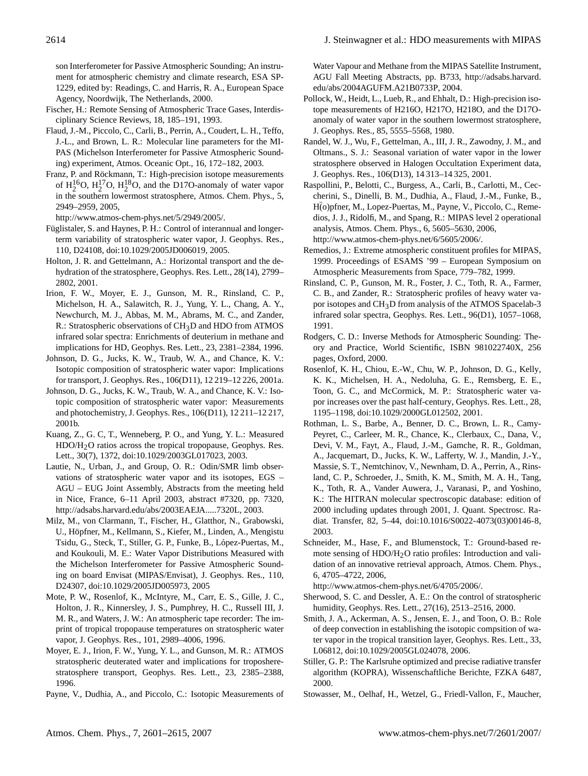son Interferometer for Passive Atmospheric Sounding; An instrument for atmospheric chemistry and climate research, ESA SP-1229, edited by: Readings, C. and Harris, R. A., European Space Agency, Noordwijk, The Netherlands, 2000.

- <span id="page-13-10"></span>Fischer, H.: Remote Sensing of Atmospheric Trace Gases, Interdisciplinary Science Reviews, 18, 185–191, 1993.
- <span id="page-13-17"></span>Flaud, J.-M., Piccolo, C., Carli, B., Perrin, A., Coudert, L. H., Teffo, J.-L., and Brown, L. R.: Molecular line parameters for the MI-PAS (Michelson Interferometer for Passive Atmospheric Sounding) experiment, Atmos. Oceanic Opt., 16, 172–182, 2003.
- <span id="page-13-14"></span>Franz, P. and Röckmann, T.: High-precision isotope measurements of  $H_2^{16}$ O,  $H_2^{17}$ O,  $H_2^{18}$ O, and the D17O-anomaly of water vapor in the southern lowermost stratosphere, Atmos. Chem. Phys., 5, 2949–2959, 2005,

[http://www.atmos-chem-phys.net/5/2949/2005/.](http://www.atmos-chem-phys.net/5/2949/2005/)

- <span id="page-13-1"></span>Füglistaler, S. and Haynes, P. H.: Control of interannual and longerterm variability of stratospheric water vapor, J. Geophys. Res., 110, D24108, doi:10.1029/2005JD006019, 2005.
- <span id="page-13-2"></span>Holton, J. R. and Gettelmann, A.: Horizontal transport and the dehydration of the stratosphere, Geophys. Res. Lett., 28(14), 2799– 2802, 2001.
- <span id="page-13-8"></span>Irion, F. W., Moyer, E. J., Gunson, M. R., Rinsland, C. P., Michelson, H. A., Salawitch, R. J., Yung, Y. L., Chang, A. Y., Newchurch, M. J., Abbas, M. M., Abrams, M. C., and Zander, R.: Stratospheric observations of CH3D and HDO from ATMOS infrared solar spectra: Enrichments of deuterium in methane and implications for HD, Geophys. Res. Lett., 23, 2381–2384, 1996.
- <span id="page-13-6"></span>Johnson, D. G., Jucks, K. W., Traub, W. A., and Chance, K. V.: Isotopic composition of stratospheric water vapor: Implications for transport, J. Geophys. Res., 106(D11), 12 219–12 226, 2001a.
- <span id="page-13-12"></span>Johnson, D. G., Jucks, K. W., Traub, W. A., and Chance, K. V.: Isotopic composition of stratospheric water vapor: Measurements and photochemistry, J. Geophys. Res., 106(D11), 12 211–12 217, 2001b.
- <span id="page-13-26"></span>Kuang, Z., G. C, T., Wenneberg, P. O., and Yung, Y. L.: Measured HDO/H2O ratios across the tropical tropopause, Geophys. Res. Lett., 30(7), 1372, doi:10.1029/2003GL017023, 2003.
- <span id="page-13-9"></span>Lautie, N., Urban, J., and Group, O. R.: Odin/SMR limb observations of stratospheric water vapor and its isotopes, EGS – AGU – EUG Joint Assembly, Abstracts from the meeting held in Nice, France, 6–11 April 2003, abstract #7320, pp. 7320, [http://adsabs.harvard.edu/abs/2003EAEJA.....7320L,](http://adsabs.harvard.edu/abs/2003EAEJA.....7320L) 2003.
- <span id="page-13-19"></span>Milz, M., von Clarmann, T., Fischer, H., Glatthor, N., Grabowski, U., Höpfner, M., Kellmann, S., Kiefer, M., Linden, A., Mengistu Tsidu, G., Steck, T., Stiller, G. P., Funke, B., López-Puertas, M., and Koukouli, M. E.: Water Vapor Distributions Measured with the Michelson Interferometer for Passive Atmospheric Sounding on board Envisat (MIPAS/Envisat), J. Geophys. Res., 110, D24307, doi:10.1029/2005JD005973, 2005
- <span id="page-13-25"></span>Mote, P. W., Rosenlof, K., McIntyre, M., Carr, E. S., Gille, J. C., Holton, J. R., Kinnersley, J. S., Pumphrey, H. C., Russell III, J. M. R., and Waters, J. W.: An atmospheric tape recorder: The imprint of tropical tropopause temperatures on stratospheric water vapor, J. Geophys. Res., 101, 2989–4006, 1996.
- <span id="page-13-4"></span>Moyer, E. J., Irion, F. W., Yung, Y. L., and Gunson, M. R.: ATMOS stratospheric deuterated water and implications for troposherestratosphere transport, Geophys. Res. Lett., 23, 2385–2388, 1996.
- <span id="page-13-23"></span>Payne, V., Dudhia, A., and Piccolo, C.: Isotopic Measurements of

Water Vapour and Methane from the MIPAS Satellite Instrument, AGU Fall Meeting Abstracts, pp. B733, [http://adsabs.harvard.](http://adsabs.harvard.edu/abs/2004AGUFM.A21B0733P) [edu/abs/2004AGUFM.A21B0733P,](http://adsabs.harvard.edu/abs/2004AGUFM.A21B0733P) 2004.

- <span id="page-13-13"></span>Pollock, W., Heidt, L., Lueb, R., and Ehhalt, D.: High-precision isotope measurements of H216O, H217O, H218O, and the D17Oanomaly of water vapor in the southern lowermost stratosphere, J. Geophys. Res., 85, 5555–5568, 1980.
- <span id="page-13-24"></span>Randel, W. J., Wu, F., Gettelman, A., III, J. R., Zawodny, J. M., and Oltmans., S. J.: Seasonal variation of water vapor in the lower stratosphere observed in Halogen Occultation Experiment data, J. Geophys. Res., 106(D13), 14 313–14 325, 2001.
- <span id="page-13-20"></span>Raspollini, P., Belotti, C., Burgess, A., Carli, B., Carlotti, M., Ceccherini, S., Dinelli, B. M., Dudhia, A., Flaud, J.-M., Funke, B., H(o)pfner, M., Lopez-Puertas, M., Payne, V., Piccolo, C., Remedios, J. J., Ridolfi, M., and Spang, R.: MIPAS level 2 operational analysis, Atmos. Chem. Phys., 6, 5605–5630, 2006, [http://www.atmos-chem-phys.net/6/5605/2006/.](http://www.atmos-chem-phys.net/6/5605/2006/)
- <span id="page-13-21"></span>Remedios, J.: Extreme atmospheric constituent profiles for MIPAS, 1999. Proceedings of ESAMS '99 – European Symposium on Atmospheric Measurements from Space, 779–782, 1999.
- <span id="page-13-7"></span>Rinsland, C. P., Gunson, M. R., Foster, J. C., Toth, R. A., Farmer, C. B., and Zander, R.: Stratospheric profiles of heavy water vapor isotopes and CH3D from analysis of the ATMOS Spacelab-3 infrared solar spectra, Geophys. Res. Lett., 96(D1), 1057–1068, 1991.
- <span id="page-13-18"></span>Rodgers, C. D.: Inverse Methods for Atmospheric Sounding: Theory and Practice, World Scientific, ISBN 981022740X, 256 pages, Oxford, 2000.
- <span id="page-13-0"></span>Rosenlof, K. H., Chiou, E.-W., Chu, W. P., Johnson, D. G., Kelly, K. K., Michelsen, H. A., Nedoluha, G. E., Remsberg, E. E., Toon, G. C., and McCormick, M. P.: Stratospheric water vapor increases over the past half-century, Geophys. Res. Lett., 28, 1195–1198, doi:10.1029/2000GL012502, 2001.
- <span id="page-13-16"></span>Rothman, L. S., Barbe, A., Benner, D. C., Brown, L. R., Camy-Peyret, C., Carleer, M. R., Chance, K., Clerbaux, C., Dana, V., Devi, V. M., Fayt, A., Flaud, J.-M., Gamche, R. R., Goldman, A., Jacquemart, D., Jucks, K. W., Lafferty, W. J., Mandin, J.-Y., Massie, S. T., Nemtchinov, V., Newnham, D. A., Perrin, A., Rinsland, C. P., Schroeder, J., Smith, K. M., Smith, M. A. H., Tang, K., Toth, R. A., Vander Auwera, J., Varanasi, P., and Yoshino, K.: The HITRAN molecular spectroscopic database: edition of 2000 including updates through 2001, J. Quant. Spectrosc. Radiat. Transfer, 82, 5–44, doi:10.1016/S0022-4073(03)00146-8, 2003.
- <span id="page-13-22"></span>Schneider, M., Hase, F., and Blumenstock, T.: Ground-based remote sensing of  $HDO/H<sub>2</sub>O$  ratio profiles: Introduction and validation of an innovative retrieval approach, Atmos. Chem. Phys., 6, 4705–4722, 2006,

[http://www.atmos-chem-phys.net/6/4705/2006/.](http://www.atmos-chem-phys.net/6/4705/2006/)

- <span id="page-13-3"></span>Sherwood, S. C. and Dessler, A. E.: On the control of stratospheric humidity, Geophys. Res. Lett., 27(16), 2513–2516, 2000.
- <span id="page-13-5"></span>Smith, J. A., Ackerman, A. S., Jensen, E. J., and Toon, O. B.: Role of deep convection in establishing the isotopic compsition of water vapor in the tropical transition layer, Geophys. Res. Lett., 33, L06812, doi:10.1029/2005GL024078, 2006.
- <span id="page-13-15"></span>Stiller, G. P.: The Karlsruhe optimized and precise radiative transfer algorithm (KOPRA), Wissenschaftliche Berichte, FZKA 6487, 2000.
- <span id="page-13-11"></span>Stowasser, M., Oelhaf, H., Wetzel, G., Friedl-Vallon, F., Maucher,